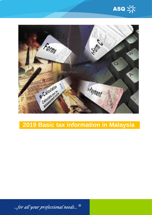



# **2019 Basic tax information in Malaysia**

...for all your professional needs...  $^{\frac{\omega}{3}}$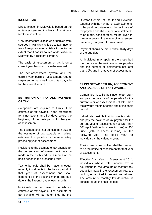#### **INCOME TAX**

Direct taxation in Malaysia is based on the unitary system and the basis of taxation is territorial in nature.

Only income that is accrued or derived from sources in Malaysia is liable to tax. Income from foreign sources is liable to tax to the extent that it has its source of derivation in Malaysia by a resident company.

The basis of assessment of tax is on a current year basis and is self-assessed.

The self-assessment system and the current year basis of assessment require taxpayers to make estimate of tax payable for the current year of tax.

# **ESTIMATION OF TAX AND PAYMENT OF TAX**

Companies are required to furnish their estimate of tax payable in the prescribed form not later than thirty days before the beginning of the basis period for that year of assessment.

The estimate shall not be less than 85% of the estimate of tax payable or revised estimate of tax payable for the immediately preceding year of assessment.

Revisions to the estimate of tax payable for the current year of assessment may be made in the sixth and ninth month of the basis period in the prescribed form.

Tax to be paid shall be made in equal monthly instalments in the basis period of that year of assessment and shall commence in the second month. The due date is the fifteenth day of each month.

Individuals do not have to furnish an estimate of tax payable. The estimate of tax payable will be determined by the

Director General of the Inland Revenue together with the number of tax instalments to be paid. In determining the estimate of tax payable and the number of instalments to be made, consideration will be given to the tax assessed in the year of assessment preceding that year of assessment.

Payment should be made within thirty days of the due date.

An individual may apply in the prescribed form to revise the estimate of tax payable and the number of instalments not later than 30<sup>th</sup> June in that year of assessment.

## **FILING OF TAX RETURN, ASSESSMENT AND BALANCE OF TAX PAYABLE**

Companies must file their income tax return and pay the balance of tax payable for the current year of assessment not later than the seventh month after the end of the basis period.

Individuals must file their income tax return and pay the balance of tax payable for the current year of assessment not later than 30<sup>th</sup> April (without business income) or 30<sup>th</sup> June (with business income) of the following year. The basis year for individuals is the calendar year.

The income tax return filed shall be deemed to be the notice of assessment for that year of assessment.

Effective from Year of Assessment 2014, individuals whose total income tax is equivalent to the amount of monthly tax deduction made in the assessment year are no longer required to submit tax returns. The amount of monthly tax deduction is considered as the final tax paid.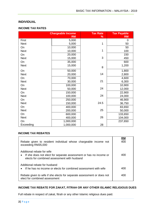# **INDIVIDUAL**

#### **INCOME TAX RATES**

|              | <b>Chargeable Income</b> | <b>Tax Rate</b> | <b>Tax Payable</b> |
|--------------|--------------------------|-----------------|--------------------|
|              | <b>RM</b>                | %               | <b>RM</b>          |
| <b>First</b> | 5,000                    |                 | $\overline{0}$     |
| <b>Next</b>  | 5,000                    | 1               | 50                 |
| On           | 10,000                   |                 | 50                 |
| <b>Next</b>  | 10,000                   | 1               | 100                |
| On           | 20,000                   |                 | 150                |
| <b>Next</b>  | 15,000                   | 3               | 450                |
| On           | 35,000                   |                 | 600                |
| <b>Next</b>  | 15,000                   | 8               | 1,200              |
| On           | 50,000                   |                 | 1,800              |
| <b>Next</b>  | 20,000                   | 14              | 2,800              |
| On           | 70,000                   |                 | 4,600              |
| <b>Next</b>  | 30,000                   | 21              | 6,300              |
| On           | 100,000                  |                 | 10,900             |
| <b>Next</b>  | 50,000                   | 24              | 12,000             |
| On           | 150,000                  |                 | 22,900             |
| <b>Next</b>  | 100,000                  | 24              | 24,000             |
| On           | 250,000                  |                 | 46,900             |
| <b>Next</b>  | 150,000                  | 24.5            | 36,750             |
| On           | 400,000                  |                 | 83,650             |
| <b>Next</b>  | 200,000                  | 25              | 50,000             |
| On           | 600,000                  |                 | 133,650            |
| <b>Next</b>  | 400,000                  | 26              | 104,000            |
| On           | 1,000,000                |                 | 237,650            |
| Exceeding    | 1,000,000                | 28              |                    |

# **INCOME TAX REBATES**

| Rebate given to resident individual whose chargeable income not<br>exceeding RM35,000                                                                       | RM<br>400 |
|-------------------------------------------------------------------------------------------------------------------------------------------------------------|-----------|
| Additional rebate for wife<br>If she does not elect for separate assessment or has no income or<br>$\bullet$<br>elects for combined assessment with husband | 400       |
| Additional rebate for husband<br>If he has no income or elects for combined assessment with wife<br>$\bullet$                                               | 400       |
| Rebate given to wife if she elects for separate assessment or does not<br>elect for combined assessment                                                     | 400       |

# **INCOME TAX REBATE FOR ZAKAT, FITRAH OR ANY OTHER ISLAMIC RELIGIOUS DUES**

Full rebate in respect of zakat, fitrah or any other Islamic religious dues paid.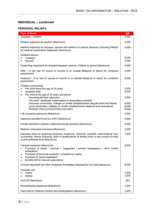# **INDIVIDUAL – continued**

#### **PERSONAL RELIEFS**

| <b>Type of Relief</b>                                                                                                                                                                                                                                                                                                                                             | RM                               |
|-------------------------------------------------------------------------------------------------------------------------------------------------------------------------------------------------------------------------------------------------------------------------------------------------------------------------------------------------------------------|----------------------------------|
| Taxpayer - resident                                                                                                                                                                                                                                                                                                                                               | 9,000                            |
| Medical expenses for parents (Maximum)                                                                                                                                                                                                                                                                                                                            |                                  |
| Medical expenses for taxpayer, spouse and children on serious diseases (including RM500<br>for medical examination expenses) (Maximum)                                                                                                                                                                                                                            | 6,000                            |
| Disabled person:<br>Taxpayer<br>Spouse                                                                                                                                                                                                                                                                                                                            | 6,000<br>3,500                   |
| Supporting equipment for disabled taxpayer, spouse, children or parent (Maximum)                                                                                                                                                                                                                                                                                  | 6,000                            |
| Wife – if she has no source of income in or outside Malaysia or elects for combined<br>assessment                                                                                                                                                                                                                                                                 | 4,000                            |
| Husband – if he has no source of income in or outside Malaysia or elects for combined<br>assessment                                                                                                                                                                                                                                                               | 4,000                            |
| Children (unmarried):<br>Per child below the age of 18 years<br>Disabled child<br>$\bullet$<br>Per child at the age of 18 years and above<br>$\bullet$<br>Receiving full-time education<br>("A-Level", certificate, matriculation or preparatory courses)<br>Overseas universities, colleges or similar establishments (degree level and above)<br>$\blacksquare$ | 2,000<br>6,000<br>2,000<br>8,000 |
| Local universities, colleges or similar establishments (diploma level and above)<br>$\qquad \qquad \blacksquare$<br>Disabled child pursuing tertiary education<br>$\qquad \qquad \blacksquare$                                                                                                                                                                    | 8,000<br>8,000                   |
| Life insurance premiums (Maximum)                                                                                                                                                                                                                                                                                                                                 | 3,000                            |
| Approved provident fund (i.e. EPF) (Maximum)                                                                                                                                                                                                                                                                                                                      | 4,000                            |
| Private retirement scheme / Deferred annuity premium (Maximum)                                                                                                                                                                                                                                                                                                    | 3,000                            |
| Medical / education insurance (Maximum)                                                                                                                                                                                                                                                                                                                           | 3,000                            |
| Education fees for acquiring technical, vocational, industrial, scientific, technological, law,<br>accounting, Islamic financing, skills or qualifications at tertiary level or any course of study<br>at post graduate level (Maximum)                                                                                                                           | 7,000                            |
| Lifestyle expenses (Maximum)<br>Purchase of books / journals / magazines / printed newspapers / other similar<br>publications<br>Purchase of personal computer / smartphone / tablet<br>Purchase of sports equipment<br>Monthly bill for internet subscription<br>٠                                                                                               | 2,500                            |
| Amount deposited into Skim Simpanan Pendidikan Nasional for his child (Maximum)                                                                                                                                                                                                                                                                                   | 8,000                            |
| Parental care<br>Father<br>Mother                                                                                                                                                                                                                                                                                                                                 | 1,500<br>1,500                   |
| SOCSO (Maximum)                                                                                                                                                                                                                                                                                                                                                   | 250                              |
| Breastfeeding equipment (Maximum)                                                                                                                                                                                                                                                                                                                                 |                                  |
| Fees paid to childcare centres and kindergartens (Maximum)                                                                                                                                                                                                                                                                                                        | 1,000                            |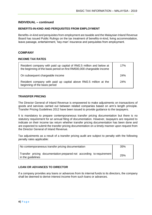## **INDIVIDUAL – continued**

#### **BENEFITS-IN-KIND AND PERQUISITES FROM EMPLOYMENT**

Benefits–in-kind and perquisites from employment are taxable and the Malaysian Inland Revenue Board has issued Public Rulings on the tax treatment of benefits-in-kind, living accommodation, leave passage, entertainment, 'key-man' insurance and perquisites from employment.

#### **COMPANY**

#### **INCOME TAX RATES**

| Resident company with paid up capital of RM2.5 million and below at<br>the beginning of the basis period on first RM500,000 chargeable income | 17% |
|-----------------------------------------------------------------------------------------------------------------------------------------------|-----|
| On subsequent chargeable income                                                                                                               | 24% |
| Resident company with paid up capital above RM2.5 million at the<br>beginning of the basis period                                             | 24% |

#### **TRANSFER PRICING**

The Director General of Inland Revenue is empowered to make adjustments on transactions of goods and services carried out between related companies based on arm's length principle. Transfer Pricing Guidelines 2012 have been issued to provide guidance to the taxpayers.

It is mandatory to prepare contemporaneous transfer pricing documentation but there is no statutory requirement for an annual filing of documentation. However, taxpayers are required to indicate on their income tax return whether transfer pricing documentation has been done and are expected to submit the transfer pricing documentation on a timely manner upon request from the Director General of Inland Revenue.

Tax adjustments as a result of a transfer pricing audit are subject to penalty with the following penalty rates applicable:

| No contemporaneous transfer pricing documentation                                           | 35% |
|---------------------------------------------------------------------------------------------|-----|
| Transfer pricing documentation prepared not according to requirement<br>I in the guidelines | 25% |

#### **LOAN OR ADVANCES TO DIRECTOR**

If a company provides any loans or advances from its internal funds to its directors, the company shall be deemed to derive interest income from such loans or advances.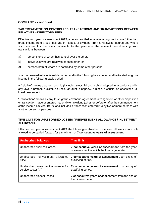# **COMPANY – continued**

#### **TAX TREATMENT ON CONTROLLED TRANSACTIONS AND TRANSACTIONS BETWEEN RELATIVES – DIRECTORS FEES**

Effective from year of assessment 2015, a person entitled to receive any gross income (other than gross income from a business and in respect of dividend) from a Malaysian source and where such amount first becomes receivable to the person in the relevant period arising from transactions between:

- a) persons one of whom has control over the other,
- b) individuals who are relatives of each other, or
- c) persons both of whom are controlled by some other persons,

shall be deemed to be obtainable on demand in the following basis period and be treated as gross income in the following basis period.

A "relative" means a parent, a child (including stepchild and a child adopted in accordance with any law), a brother, a sister, an uncle, an aunt, a nephew, a niece, a cousin, an ancestor or a lineal descendent.

"Transaction" means as any trust, grant, covenant, agreement, arrangement or other disposition or transaction made or entered into orally or in writing (whether before or after the commencement of the Income Tax Act, 1967), and includes a transaction entered into by two or more persons with another person or persons.

#### **TIME LIMIT FOR UNABSORBED LOSSES / REINVESTMENT ALLOWANCE / INVESTMENT ALLOWANCE**

Effective from year of assessment 2019, the following unabsorbed losses and allowances are only allowed to be carried forward for a maximum of **7 consecutive years of assessment**:

| <b>Unabsorbed balances</b>                                 | <b>Time limit</b>                                                                                |  |
|------------------------------------------------------------|--------------------------------------------------------------------------------------------------|--|
| Unabsorbed business losses                                 | 7 consecutive years of assessment from the year<br>of assessment in which the loss is generated. |  |
| Unabsorbed reinvestment allowance<br>(RA)                  | 7 consecutive years of assessment upon expiry of<br>qualifying period.                           |  |
| Unabsorbed investment allowance for<br>service sector (IA) | 7 consecutive years of assessment upon expiry of<br>qualifying period.                           |  |
| Unabsorbed pioneer losses                                  | 7 consecutive years of assessment from the end of<br>the pioneer period.                         |  |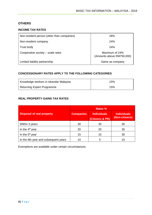# **OTHERS**

# **INCOME TAX RATES**

| Non-resident person (other than companies) | 28%                                         |
|--------------------------------------------|---------------------------------------------|
| Non-resident company                       | 24%                                         |
| Trust body                                 | 24%                                         |
| Cooperative society – scale rates          | Maximum of 24%<br>(Amounts above RM750,000) |
| Limited liability partnership              | Same as company                             |

## **CONCESSIONARY RATES APPLY TO THE FOLLOWING CATEGORIES**

| Knowledge workers in Iskandar Malaysia | 15% |
|----------------------------------------|-----|
| Returning Expert Programme             | 15% |

# **REAL PROPERTY GAINS TAX RATES**

|                                      | <b>Rates %</b>   |                                       |                                      |  |
|--------------------------------------|------------------|---------------------------------------|--------------------------------------|--|
| <b>Disposal of real property</b>     | <b>Companies</b> | <b>Individuals</b><br>(Citizens & PR) | <b>Individuals</b><br>(Non-citizens) |  |
| Within 3 years                       | 30               | 30                                    | 30                                   |  |
| In the 4 <sup>th</sup> year          | 20               | 20                                    | 30                                   |  |
| In the 5 <sup>th</sup> year          | 15               | 15                                    | 30                                   |  |
| In the 6th year and subsequent years | 10               | 5                                     |                                      |  |

Exemptions are available under certain circumstances.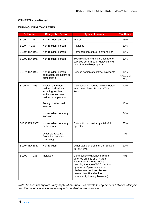# **OTHERS - continued**

# **WITHHOLDING TAX RATES**

| <b>Reference</b> | <b>Chargeable Person</b>                                                                                       | <b>Types of income</b>                                                                                                                                                                                                                                             | <b>Tax Rates</b>          |
|------------------|----------------------------------------------------------------------------------------------------------------|--------------------------------------------------------------------------------------------------------------------------------------------------------------------------------------------------------------------------------------------------------------------|---------------------------|
| S109 ITA 1967    | Non-resident person                                                                                            | Interest                                                                                                                                                                                                                                                           | 15%                       |
| S109 ITA 1967    | Non-resident person                                                                                            | <b>Royalties</b>                                                                                                                                                                                                                                                   | 10%                       |
| S109A ITA 1967   | Non-resident person                                                                                            | Remuneration of public entertainer                                                                                                                                                                                                                                 | 15%                       |
| S109B ITA 1967   | Non-resident person                                                                                            | Technical fee and installation fee for<br>services performed in Malaysia and<br>rent of moveable property                                                                                                                                                          | 10%                       |
| S107A ITA 1967   | Non-resident person,<br>contractor, consultant or<br>professional                                              | Service portion of contract payments                                                                                                                                                                                                                               | 13%<br>(10% and<br>$3%$ ) |
| S109D ITA 1967   | Resident and non-<br>resident individuals<br>including resident<br>entities (other than<br>resident companies) | Distribution of income by Real Estate<br><b>Investment Trust/ Property Trust</b><br>Fund                                                                                                                                                                           | 10%                       |
|                  | Foreign institutional<br>investor                                                                              |                                                                                                                                                                                                                                                                    | 10%                       |
|                  | Non-resident company<br>investor                                                                               |                                                                                                                                                                                                                                                                    | 24%                       |
| S109E ITA 1967   | Non-resident company<br>participants                                                                           | Distribution of profits by a takaful<br>operator                                                                                                                                                                                                                   | 25%                       |
|                  | Other participants<br>(excluding resident<br>company)                                                          |                                                                                                                                                                                                                                                                    | 8%                        |
| S109F ITA 1967   | Non-resident                                                                                                   | Other gains or profits under Section<br>4(f) ITA 1967                                                                                                                                                                                                              | 10%                       |
| S109G ITA 1967   | Individual                                                                                                     | Contributions withdrawn from a<br>deferred annuity or a Private<br>Retirement Scheme before<br>reaching the age of 55 (other than<br>by reason of permanent total<br>disablement, serious disease,<br>mental disability, death or<br>permanently leaving Malaysia) | 8%                        |

*Note: Concessionary rates may apply where there is a double tax agreement between Malaysia and the country in which the taxpayer is resident for tax purposes.*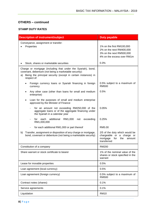# **OTHERS – continued**

#### **STAMP DUTY RATES**

| <b>Description of instrument/subject</b>                                                                                                                                                                     | <b>Duty payable</b>                                                                                             |
|--------------------------------------------------------------------------------------------------------------------------------------------------------------------------------------------------------------|-----------------------------------------------------------------------------------------------------------------|
| Conveyance, assignment or transfer:<br>Properties                                                                                                                                                            | 1% on the first RM100,000<br>2% on the next RM400,000<br>3% on the next RM500,000<br>4% on the excess over RM1m |
| Stock, shares or marketable securities                                                                                                                                                                       | 0.3%                                                                                                            |
| Charge or mortgage (including that under the Syariah), bond,<br>covenant, debenture (not being a marketable security):<br>Being the principal security (except in certain instances) in<br>a)<br>respect of: |                                                                                                                 |
| Foreign currency loans or Syariah financing in foreign<br>currency                                                                                                                                           | 0.5% subject to a maximum of<br><b>RM500</b>                                                                    |
| Any other case (other than loans for small and medium<br>$\bullet$<br>enterprise)                                                                                                                            | 0.5%                                                                                                            |
| Loan for the purposes of small and medium enterprise<br>approved by the Minister of Finance                                                                                                                  |                                                                                                                 |
| for an amount not exceeding RM250,000 of the<br>$\overline{\phantom{a}}$<br>aggregate loans or of the aggregate financing under<br>the Syariah in a calendar year                                            | 0.05%                                                                                                           |
| additional<br>RM1,000<br>exceeding<br>each<br>for<br>not<br>$\overline{\phantom{a}}$<br>RM1,000,000                                                                                                          | 0.25%                                                                                                           |
| for each additional RM1,000 or part thereof<br>$\overline{\phantom{a}}$                                                                                                                                      | RM5.00                                                                                                          |
| Transfer, assignment or disposition of any charge or mortgage,<br>b)<br>bond, covenant or debenture (not being a marketable security)                                                                        | 2/5 of the duty which would be<br>chargeable or a charge or<br>mortgage<br>for<br>the<br>amount<br>transferred  |
| Constitution of a company                                                                                                                                                                                    | <b>RM200</b>                                                                                                    |
| Share warrant or stock certificate to bearer                                                                                                                                                                 | 1% of the nominal value of the<br>shares or stock specified in the<br>warrant                                   |
| Lease for movable properties                                                                                                                                                                                 | 0.5%                                                                                                            |
| Loan agreement (local currency)                                                                                                                                                                              | 0.5%                                                                                                            |
| Loan agreement (foreign currency)                                                                                                                                                                            | 0.5% subject to a maximum of<br><b>RM500</b>                                                                    |
| Contract notes (shares)                                                                                                                                                                                      | 0.1%                                                                                                            |
| Service agreements                                                                                                                                                                                           | 0.1%                                                                                                            |
| Liquidation                                                                                                                                                                                                  | <b>RM10</b>                                                                                                     |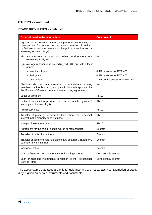# **OTHERS – continued**

#### **STAMP DUTY RATES – continued**

| <b>Description of instrument/subject</b>                                                                                                                                                                                        | <b>Duty payable</b>             |  |
|---------------------------------------------------------------------------------------------------------------------------------------------------------------------------------------------------------------------------------|---------------------------------|--|
| Agreement for lease of immovable property (without fine or<br>premium) and for securing the payment for provision of services<br>or facilities or to other matters or things in connection with a<br>lease (eg service charge): |                                 |  |
| average rent per year and other considerations not<br>(i)<br>exceeding RM2,400                                                                                                                                                  | <b>NIL</b>                      |  |
| average rent per year exceeding RM2,400 and with a lease<br>(ii)<br>period:                                                                                                                                                     |                                 |  |
| - less than 1 year                                                                                                                                                                                                              | 0.4% in excess of RM2,400       |  |
| $-1-3$ years                                                                                                                                                                                                                    | 0.8% in excess of RM2,400       |  |
| - over 3 years                                                                                                                                                                                                                  | 1.6% on the excess over RM2,400 |  |
| Absolute sale of account receivables or book debts to a bank,<br>merchant bank or borrowing company in Malaysia approved by<br>the Minister of Finance, pursuant to a factoring agreement                                       | <b>RM10</b>                     |  |
| Letter of allotment                                                                                                                                                                                                             | <b>RM10</b>                     |  |
| Letter of renunciation (provided that it is not on sale, by way of<br>security and by way of gift)                                                                                                                              | <b>RM10</b>                     |  |
| Promissory note                                                                                                                                                                                                                 | <b>RM10</b>                     |  |
| Transfer of property between trustees where the beneficial<br>interest in the property does not pass                                                                                                                            | <b>RM10</b>                     |  |
| Hire-purchase agreement                                                                                                                                                                                                         | <b>RM10</b>                     |  |
| Agreement for the sale of goods, wares or merchandise                                                                                                                                                                           | Exempt                          |  |
| Transfer of units of a unit trust                                                                                                                                                                                               | Exempt                          |  |
| Transfer or assignment for the sale of any copyright, trademark,<br>patent or any similar right                                                                                                                                 | Exempt                          |  |
| Insurance policy                                                                                                                                                                                                                | Exempt                          |  |
| Loan or financing pursuant to a micro financing scheme                                                                                                                                                                          | Conditionally exempt            |  |
| Loan or financing instruments in relation to the Professional<br>Service Fund                                                                                                                                                   | Conditionally exempt            |  |

The above stamp duty rates are only for guidance and are not exhaustive. Exemption of stamp duty is given on certain instruments and documents.